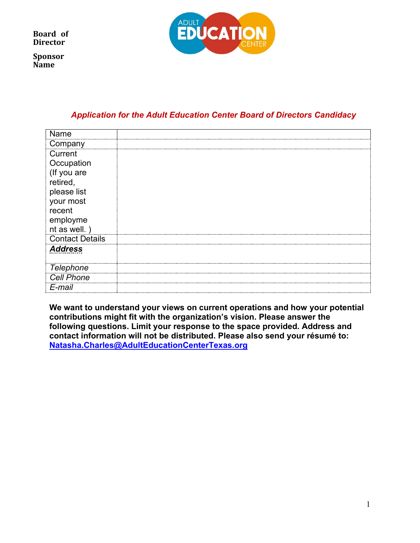**Sponsor Name** 



## *Application for the Adult Education Center Board of Directors Candidacy*

| Name                   |  |
|------------------------|--|
| Company                |  |
| Current                |  |
| Occupation             |  |
| (If you are            |  |
| retired,               |  |
| please list            |  |
| your most              |  |
| recent                 |  |
| employme               |  |
| nt as well.)           |  |
| <b>Contact Details</b> |  |
| <b>Address</b>         |  |
| <b>Telephone</b>       |  |
| <b>Cell Phone</b>      |  |
| E-mail                 |  |

**We want to understand your views on current operations and how your potential contributions might fit with the organization's vision. Please answer the following questions. Limit your response to the space provided. Address and contact information will not be distributed. Please also send your résumé to: [Natasha.Charles@AdultEducationCenterT](mailto:Natasha.Charles@AdultEducationCenter)exas.org**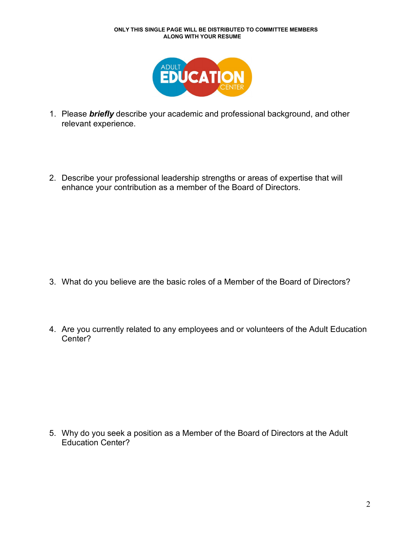

- 1. Please *briefly* describe your academic and professional background, and other relevant experience.
- 2. Describe your professional leadership strengths or areas of expertise that will enhance your contribution as a member of the Board of Directors.

- 3. What do you believe are the basic roles of a Member of the Board of Directors?
- 4. Are you currently related to any employees and or volunteers of the Adult Education Center?

5. Why do you seek a position as a Member of the Board of Directors at the Adult Education Center?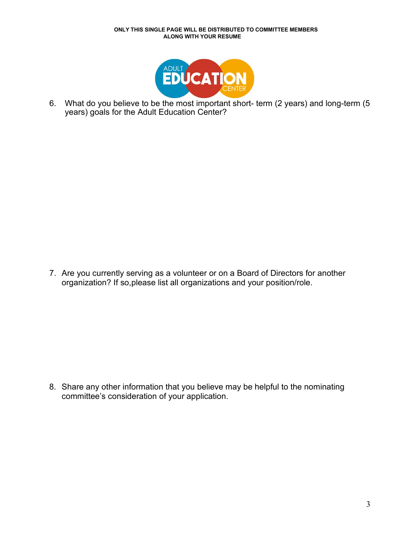

6. What do you believe to be the most important short- term (2 years) and long-term (5 years) goals for the Adult Education Center?

7. Are you currently serving as a volunteer or on a Board of Directors for another organization? If so,please list all organizations and your position/role.

8. Share any other information that you believe may be helpful to the nominating committee's consideration of your application.